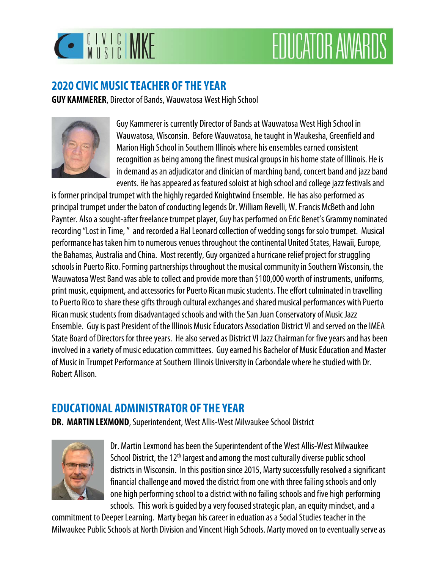

# **EDUCATOR AWARDS**

### **2020 CIVIC MUSIC TEACHER OF THE YEAR**

**GUY KAMMERER**, Director of Bands, Wauwatosa West High School



Guy Kammerer is currently Director of Bands at Wauwatosa West High School in Wauwatosa, Wisconsin. Before Wauwatosa, he taught in Waukesha, Greenfield and Marion High School in Southern Illinois where his ensembles earned consistent recognition as being among the finest musical groups in his home state of Illinois. He is in demand as an adjudicator and clinician of marching band, concert band and jazz band events. He has appeared as featured soloist at high school and college jazz festivals and

is former principal trumpet with the highly regarded Knightwind Ensemble. He has also performed as principal trumpet under the baton of conducting legends Dr. William Revelli, W. Francis McBeth and John Paynter. Also a sought-after freelance trumpet player, Guy has performed on Eric Benet's Grammy nominated recording "Lost in Time, " and recorded a Hal Leonard collection of wedding songs for solo trumpet. Musical performance has taken him to numerous venues throughout the continental United States, Hawaii, Europe, the Bahamas, Australia and China. Most recently, Guy organized a hurricane relief project for struggling schools in Puerto Rico. Forming partnerships throughout the musical community in Southern Wisconsin, the Wauwatosa West Band was able to collect and provide more than \$100,000 worth of instruments, uniforms, print music, equipment, and accessories for Puerto Rican music students. The effort culminated in travelling to Puerto Rico to share these gifts through cultural exchanges and shared musical performances with Puerto Rican music students from disadvantaged schools and with the San Juan Conservatory of Music Jazz Ensemble. Guy is past President of the Illinois Music Educators Association District VI and served on the IMEA State Board of Directors for three years. He also served as District VI Jazz Chairman for five years and has been involved in a variety of music education committees. Guy earned his Bachelor of Music Education and Master of Music in Trumpet Performance at Southern Illinois University in Carbondale where he studied with Dr. Robert Allison.

## **EDUCATIONAL ADMINISTRATOR OF THE YEAR**

**DR. MARTIN LEXMOND**, Superintendent, West Allis-West Milwaukee School District



Dr. Martin Lexmond has been the Superintendent of the West Allis-West Milwaukee School District, the 12<sup>th</sup> largest and among the most culturally diverse public school districts in Wisconsin. In this position since 2015, Marty successfully resolved a significant financial challenge and moved the district from one with three failing schools and only one high performing school to a district with no failing schools and five high performing schools. This work is guided by a very focused strategic plan, an equity mindset, and a

commitment to Deeper Learning. Marty began his career in eduation as a Social Studies teacher in the Milwaukee Public Schools at North Division and Vincent High Schools. Marty moved on to eventually serve as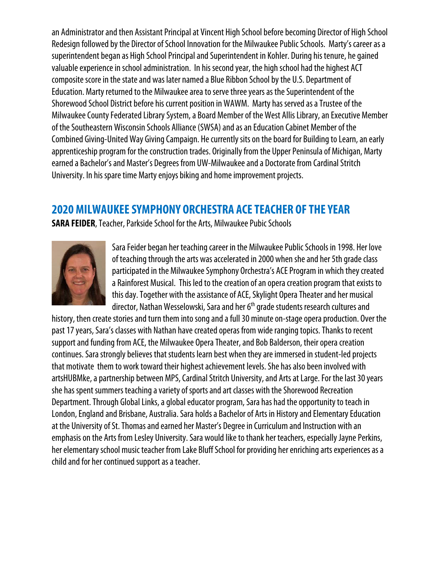an Administrator and then Assistant Principal at Vincent High School before becoming Director of High School Redesign followed by the Director of School Innovation for the Milwaukee Public Schools. Marty's career as a superintendent began as High School Principal and Superintendent in Kohler. During his tenure, he gained valuable experience in school administration. In his second year, the high school had the highest ACT composite score in the state and was later named a Blue Ribbon School by the U.S. Department of Education. Marty returned to the Milwaukee area to serve three years as the Superintendent of the Shorewood School District before his current position in WAWM. Marty has served as a Trustee of the Milwaukee County Federated Library System, a Board Member of the West Allis Library, an Executive Member of the Southeastern Wisconsin Schools Alliance (SWSA) and as an Education Cabinet Member of the Combined Giving-United Way Giving Campaign. He currently sits on the board for Building to Learn, an early apprenticeship program for the construction trades. Originally from the Upper Peninsula of Michigan, Marty earned a Bachelor's and Master's Degrees from UW-Milwaukee and a Doctorate from Cardinal Stritch University. In his spare time Marty enjoys biking and home improvement projects.

## **2020 MILWAUKEE SYMPHONY ORCHESTRA ACE TEACHER OF THE YEAR**

**SARA FEIDER**, Teacher, Parkside School for the Arts, Milwaukee Pubic Schools



Sara Feider began her teaching career in the Milwaukee Public Schools in 1998. Her love of teaching through the arts was accelerated in 2000 when she and her 5th grade class participated in the Milwaukee Symphony Orchestra's ACE Program in which they created a Rainforest Musical. This led to the creation of an opera creation program that exists to this day. Together with the assistance of ACE, Skylight Opera Theater and her musical director, Nathan Wesselowski, Sara and her 6<sup>th</sup> grade students research cultures and

history, then create stories and turn them into song and a full 30 minute on-stage opera production. Over the past 17 years, Sara's classes with Nathan have created operas from wide ranging topics. Thanks to recent support and funding from ACE, the Milwaukee Opera Theater, and Bob Balderson, their opera creation continues. Sara strongly believes that students learn best when they are immersed in student-led projects that motivate them to work toward their highest achievement levels. She has also been involved with artsHUBMke, a partnership between MPS, Cardinal Stritch University, and Arts at Large. For the last 30 years she has spent summers teaching a variety of sports and art classes with the Shorewood Recreation Department. Through Global Links, a global educator program, Sara has had the opportunity to teach in London, England and Brisbane, Australia. Sara holds a Bachelor of Arts in History and Elementary Education at the University of St. Thomas and earned her Master's Degree in Curriculum and Instruction with an emphasis on the Arts from Lesley University. Sara would like to thank her teachers, especially Jayne Perkins, her elementary school music teacher from Lake Bluff School for providing her enriching arts experiences as a child and for her continued support as a teacher.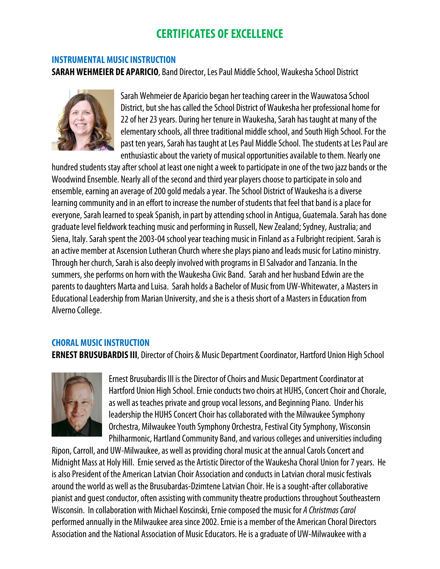## **CERTIFICATES OF EXCELLENCE**

#### **INSTRUMENTAL MUSIC INSTRUCTION**

**SARAH WEHMEIER DE APARICIO**, Band Director, Les Paul Middle School, Waukesha School District



Sarah Wehmeier de Aparicio began her teaching career in the Wauwatosa School District, but she has called the School District of Waukesha her professional home for 22 of her 23 years. During her tenure in Waukesha, Sarah has taught at many of the elementary schools, all three traditional middle school, and South High School. For the past ten years, Sarah has taught at Les Paul Middle School. The students at Les Paul are enthusiastic about the variety of musical opportunities available to them. Nearly one

hundred students stay after school at least one night a week to participate in one of the two jazz bands or the Woodwind Ensemble. Nearly all of the second and third year players choose to participate in solo and ensemble, earning an average of 200 gold medals a year. The School District of Waukesha is a diverse learning community and in an effort to increase the number of students that feel that band is a place for everyone, Sarah learned to speak Spanish, in part by attending school in Antigua, Guatemala. Sarah has done graduate level fieldwork teaching music and performing in Russell, New Zealand; Sydney, Australia; and Siena, Italy. Sarah spent the 2003-04 school year teaching music in Finland as a Fulbright recipient. Sarah is an active member at Ascension Lutheran Church where she plays piano and leads music for Latino ministry. Through her church, Sarah is also deeply involved with programs in El Salvador and Tanzania. In the summers, she performs on horn with the Waukesha Civic Band. Sarah and her husband Edwin are the parents to daughters Marta and Luisa. Sarah holds a Bachelor of Music from UW-Whitewater, a Masters in Educational Leadership from Marian University, and she is a thesis short of a Masters in Education from Alverno College.

#### **CHORAL MUSIC INSTRUCTION**

**ERNEST BRUSUBARDIS III**, Director of Choirs & Music Department Coordinator, Hartford Union High School



Ernest Brusubardis III is the Director of Choirs and Music Department Coordinator at Hartford Union High School. Ernie conducts two choirs at HUHS, Concert Choir and Chorale, as well as teaches private and group vocal lessons, and Beginning Piano. Under his leadership the HUHS Concert Choir has collaborated with the Milwaukee Symphony Orchestra, Milwaukee Youth Symphony Orchestra, Festival City Symphony, Wisconsin Philharmonic, Hartland Community Band, and various colleges and universities including

Ripon, Carroll, and UW-Milwaukee, as well as providing choral music at the annual Carols Concert and Midnight Mass at Holy Hill. Ernie served as the Artistic Director of the Waukesha Choral Union for 7 years. He is also President of the American Latvian Choir Association and conducts in Latvian choral music festivals around the world as well as the Brusubardas-Dzimtene Latvian Choir. He is a sought-after collaborative pianist and guest conductor, often assisting with community theatre productions throughout Southeastern Wisconsin. In collaboration with Michael Koscinski, Ernie composed the music for A Christmas Carol performed annually in the Milwaukee area since 2002. Ernie is a member of the American Choral Directors Association and the National Association of Music Educators. He is a graduate of UW-Milwaukee with a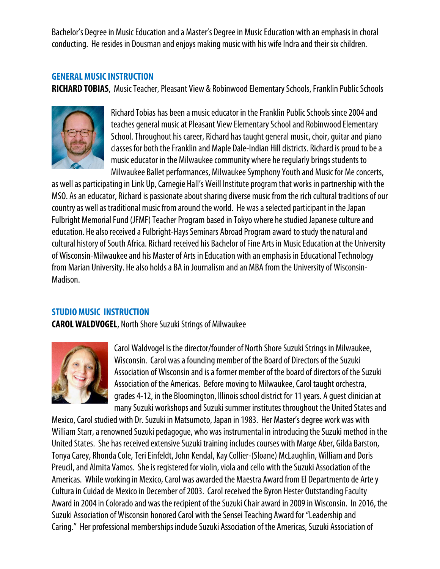Bachelor's Degree in Music Education and a Master's Degree in Music Education with an emphasis in choral conducting. He resides in Dousman and enjoys making music with his wife Indra and their six children.

#### **GENERAL MUSIC INSTRUCTION**

**RICHARD TOBIAS**, Music Teacher, Pleasant View & Robinwood Elementary Schools, Franklin Public Schools



Richard Tobias has been a music educator in the Franklin Public Schools since 2004 and teaches general music at Pleasant View Elementary School and Robinwood Elementary School. Throughout his career, Richard has taught general music, choir, guitar and piano classes for both the Franklin and Maple Dale-Indian Hill districts. Richard is proud to be a music educator in the Milwaukee community where he regularly brings students to Milwaukee Ballet performances, Milwaukee Symphony Youth and Music for Me concerts,

as well as participating in Link Up, Carnegie Hall's Weill Institute program that works in partnership with the MSO. As an educator, Richard is passionate about sharing diverse music from the rich cultural traditions of our country as well as traditional music from around the world. He was a selected participant in the Japan Fulbright Memorial Fund (JFMF) Teacher Program based in Tokyo where he studied Japanese culture and education. He also received a Fulbright-Hays Seminars Abroad Program award to study the natural and cultural history of South Africa. Richard received his Bachelor of Fine Arts in Music Education at the University of Wisconsin-Milwaukee and his Master of Arts in Education with an emphasis in Educational Technology from Marian University. He also holds a BA in Journalism and an MBA from the University of Wisconsin-Madison.

#### **STUDIO MUSIC INSTRUCTION**

**CAROL WALDVOGEL**, North Shore Suzuki Strings of Milwaukee



Carol Waldvogel is the director/founder of North Shore Suzuki Strings in Milwaukee, Wisconsin. Carol was a founding member of the Board of Directors of the Suzuki Association of Wisconsin and is a former member of the board of directors of the Suzuki Association of the Americas. Before moving to Milwaukee, Carol taught orchestra, grades 4-12, in the Bloomington, Illinois school district for 11 years. A guest clinician at many Suzuki workshops and Suzuki summer institutes throughout the United States and

Mexico, Carol studied with Dr. Suzuki in Matsumoto, Japan in 1983. Her Master's degree work was with William Starr, a renowned Suzuki pedagogue, who was instrumental in introducing the Suzuki method in the United States. She has received extensive Suzuki training includes courses with Marge Aber, Gilda Barston, Tonya Carey, Rhonda Cole, Teri Einfeldt, John Kendal, Kay Collier-(Sloane) McLaughlin, William and Doris Preucil, and Almita Vamos. She is registered for violin, viola and cello with the Suzuki Association of the Americas. While working in Mexico, Carol was awarded the Maestra Award from El Departmento de Arte y Cultura in Cuidad de Mexico in December of 2003. Carol received the Byron Hester Outstanding Faculty Award in 2004 in Colorado and was the recipient of the Suzuki Chair award in 2009 in Wisconsin. In 2016, the Suzuki Association of Wisconsin honored Carol with the Sensei Teaching Award for "Leadership and Caring." Her professional memberships include Suzuki Association of the Americas, Suzuki Association of